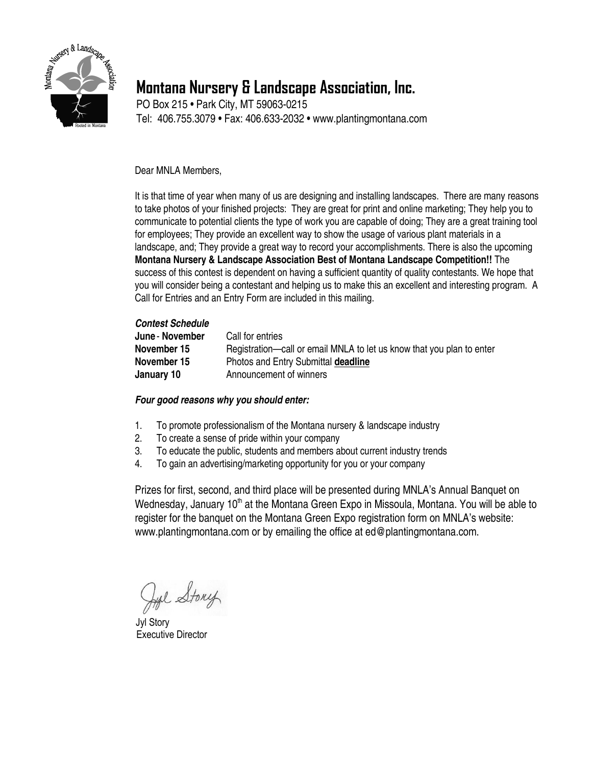

## **Montana Nursery & Landscape Association, Inc.**

PO Box 215 • Park City, MT 59063-0215 Tel: 406.755.3079 • Fax: 406.633-2032 • [www.plantingmontana.com](http://www.plantingmontana.com/)

Dear MNLA Members,

It is that time of year when many of us are designing and installing landscapes. There are many reasons to take photos of your finished projects: They are great for print and online marketing; They help you to communicate to potential clients the type of work you are capable of doing; They are a great training tool for employees; They provide an excellent way to show the usage of various plant materials in a landscape, and; They provide a great way to record your accomplishments. There is also the upcoming **Montana Nursery & Landscape Association Best of Montana Landscape Competition!!** The success of this contest is dependent on having a sufficient quantity of quality contestants. We hope that you will consider being a contestant and helping us to make this an excellent and interesting program. A Call for Entries and an Entry Form are included in this mailing.

#### *Contest Schedule*

| June - November | Call for entries                                                      |
|-----------------|-----------------------------------------------------------------------|
| November 15     | Registration—call or email MNLA to let us know that you plan to enter |
| November 15     | Photos and Entry Submittal deadline                                   |
| January 10      | Announcement of winners                                               |

#### *Four good reasons why you should enter:*

- 1. To promote professionalism of the Montana nursery & landscape industry
- 2. To create a sense of pride within your company
- 3. To educate the public, students and members about current industry trends
- 4. To gain an advertising/marketing opportunity for you or your company

Prizes for first, second, and third place will be presented during MNLA's Annual Banquet on Wednesday, January  $10<sup>th</sup>$  at the Montana Green Expo in Missoula, Montana. You will be able to register for the banquet on the Montana Green Expo registration form on MNLA's website: [www.plantingmontana.com](http://www.plantingmontana.com/) or by emailing the office at ed@plantingmontana.com.

Lyl Story

 Jyl Story Executive Director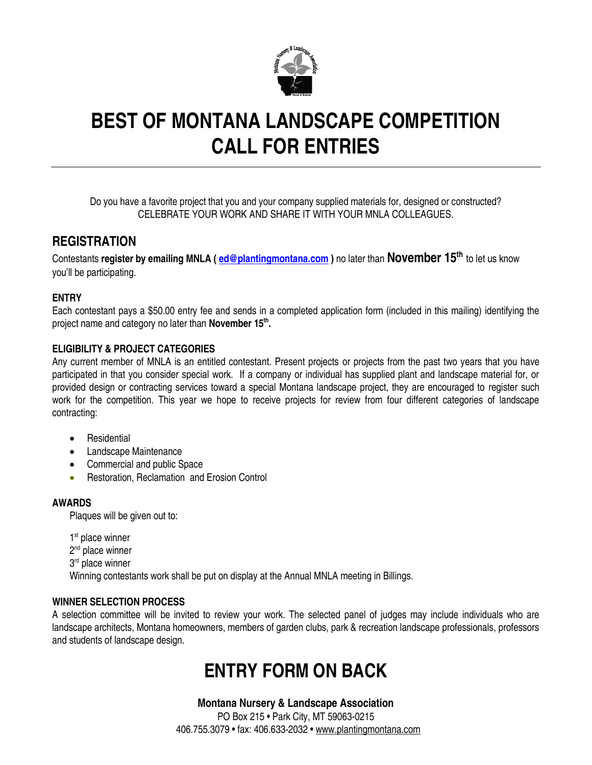

# **BEST OF MONTANA LANDSCAPE COMPETITION CALL FOR ENTRIES**

Do you have a favorite project that you and your company supplied materials for, designed or constructed? CELEBRATE YOUR WORK AND SHARE IT WITH YOUR MNLA COLLEAGUES.

### **REGISTRATION**

Contestants **register by emailing MNLA [\( ed@plantingmontana.com](mailto:ed@plantingmontana.com) )** no later than **November 15th** to let us know you'll be participating.

#### **ENTRY**

Each contestant pays a \$50.00 entry fee and sends in a completed application form (included in this mailing) identifying the project name and category no later than **November 15th .**

#### **ELIGIBILITY & PROJECT CATEGORIES**

Any current member of MNLA is an entitled contestant. Present projects or projects from the past two years that you have participated in that you consider special work. If a company or individual has supplied plant and landscape material for, or provided design or contracting services toward a special Montana landscape project, they are encouraged to register such work for the competition. This year we hope to receive projects for review from four different categories of landscape contracting:

- **•** Residential
- Landscape Maintenance
- Commercial and public Space
- Restoration, Reclamation and Erosion Control

#### **AWARDS**

Plaques will be given out to:

1<sup>st</sup> place winner

- 2<sup>nd</sup> place winner
- 3<sup>rd</sup> place winner

Winning contestants work shall be put on display at the Annual MNLA meeting in Billings.

#### **WINNER SELECTION PROCESS**

A selection committee will be invited to review your work. The selected panel of judges may include individuals who are landscape architects, Montana homeowners, members of garden clubs, park & recreation landscape professionals, professors and students of landscape design.

## **ENTRY FORM ON BACK**

#### **Montana Nursery & Landscape Association**

PO Box 215 • Park City, MT 59063-0215 406.755.3079 • fax: 406.633-2032 • [www.plantingmontana.com](http://www.plantingmontana.com/)